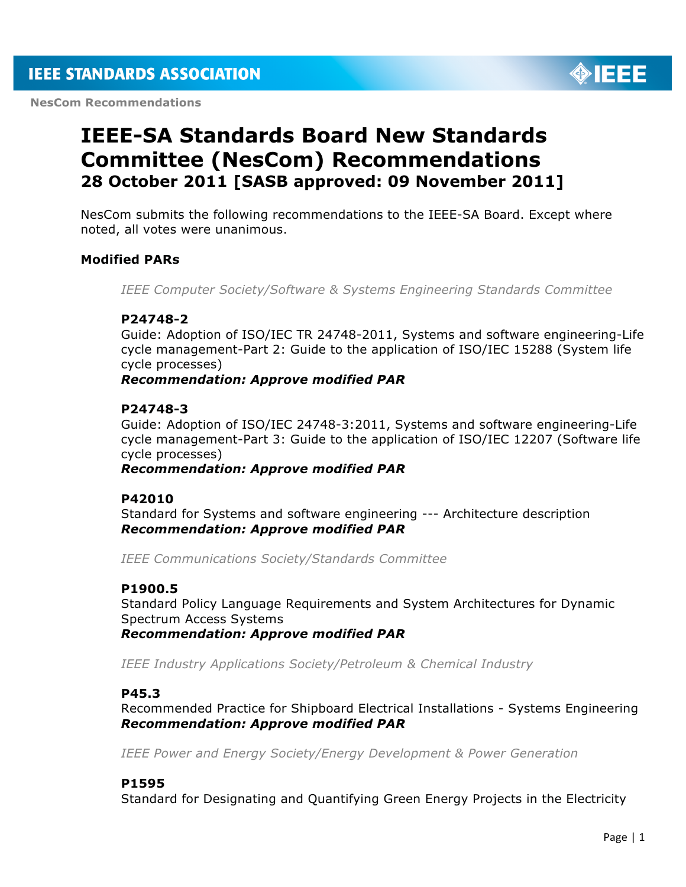**NesCom Recommendations** 



# **IEEE-SA Standards Board New Standards Committee (NesCom) Recommendations 28 October 2011 [SASB approved: 09 November 2011]**

NesCom submits the following recommendations to the IEEE-SA Board. Except where noted, all votes were unanimous.

# **Modified PARs**

*IEEE Computer Society/Software & Systems Engineering Standards Committee*

# **P24748-2**

Guide: Adoption of ISO/IEC TR 24748-2011, Systems and software engineering-Life cycle management-Part 2: Guide to the application of ISO/IEC 15288 (System life cycle processes)

*Recommendation: Approve modified PAR*

## **P24748-3**

Guide: Adoption of ISO/IEC 24748-3:2011, Systems and software engineering-Life cycle management-Part 3: Guide to the application of ISO/IEC 12207 (Software life cycle processes)

*Recommendation: Approve modified PAR*

## **P42010**

Standard for Systems and software engineering --- Architecture description *Recommendation: Approve modified PAR*

*IEEE Communications Society/Standards Committee*

## **P1900.5**

Standard Policy Language Requirements and System Architectures for Dynamic Spectrum Access Systems *Recommendation: Approve modified PAR*

*IEEE Industry Applications Society/Petroleum & Chemical Industry*

## **P45.3**

Recommended Practice for Shipboard Electrical Installations - Systems Engineering *Recommendation: Approve modified PAR*

*IEEE Power and Energy Society/Energy Development & Power Generation*

## **P1595**

Standard for Designating and Quantifying Green Energy Projects in the Electricity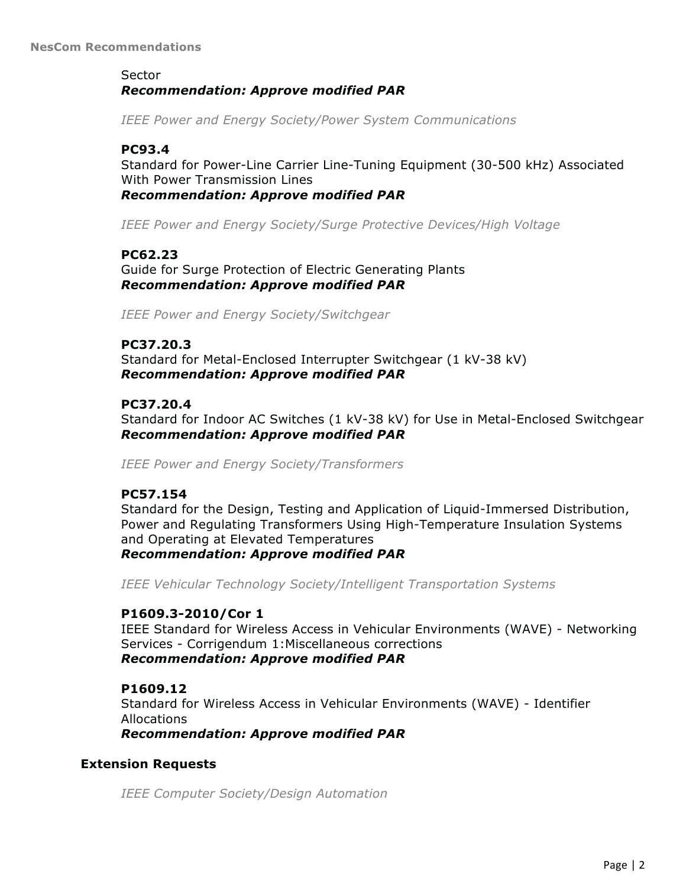# Sector *Recommendation: Approve modified PAR*

*IEEE Power and Energy Society/Power System Communications*

# **PC93.4**

Standard for Power-Line Carrier Line-Tuning Equipment (30-500 kHz) Associated With Power Transmission Lines *Recommendation: Approve modified PAR*

*IEEE Power and Energy Society/Surge Protective Devices/High Voltage*

# **PC62.23**

Guide for Surge Protection of Electric Generating Plants *Recommendation: Approve modified PAR*

*IEEE Power and Energy Society/Switchgear*

# **PC37.20.3**

Standard for Metal-Enclosed Interrupter Switchgear (1 kV-38 kV) *Recommendation: Approve modified PAR*

# **PC37.20.4**

Standard for Indoor AC Switches (1 kV-38 kV) for Use in Metal-Enclosed Switchgear *Recommendation: Approve modified PAR*

*IEEE Power and Energy Society/Transformers*

## **PC57.154**

Standard for the Design, Testing and Application of Liquid-Immersed Distribution, Power and Regulating Transformers Using High-Temperature Insulation Systems and Operating at Elevated Temperatures *Recommendation: Approve modified PAR*

*IEEE Vehicular Technology Society/Intelligent Transportation Systems*

## **P1609.3-2010/Cor 1**

IEEE Standard for Wireless Access in Vehicular Environments (WAVE) - Networking Services - Corrigendum 1:Miscellaneous corrections *Recommendation: Approve modified PAR*

# **P1609.12**

Standard for Wireless Access in Vehicular Environments (WAVE) - Identifier Allocations

*Recommendation: Approve modified PAR*

# **Extension Requests**

*IEEE Computer Society/Design Automation*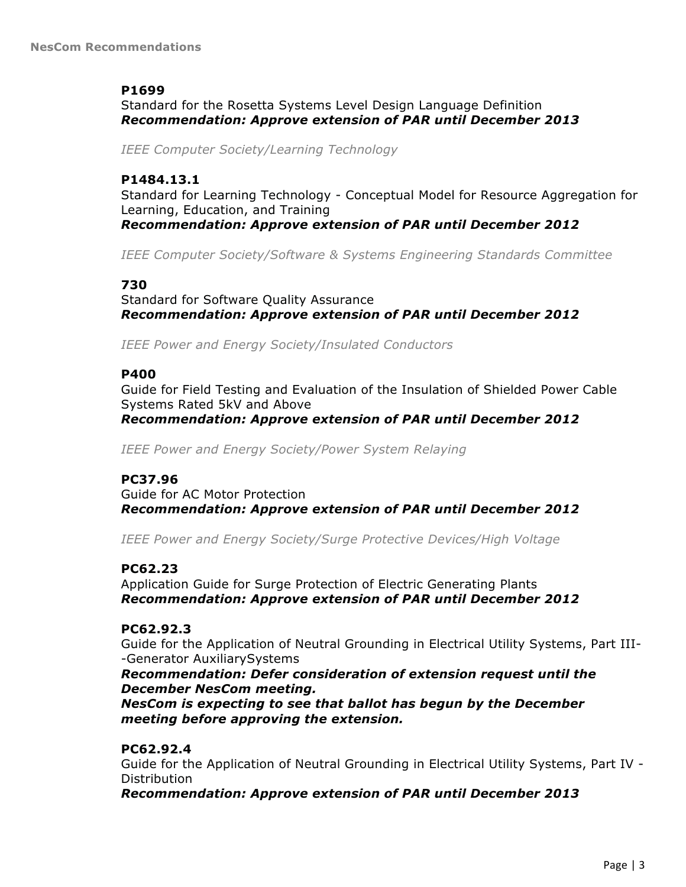# **P1699**

Standard for the Rosetta Systems Level Design Language Definition *Recommendation: Approve extension of PAR until December 2013*

*IEEE Computer Society/Learning Technology*

## **P1484.13.1**

Standard for Learning Technology - Conceptual Model for Resource Aggregation for Learning, Education, and Training *Recommendation: Approve extension of PAR until December 2012*

*IEEE Computer Society/Software & Systems Engineering Standards Committee*

# **730**

Standard for Software Quality Assurance *Recommendation: Approve extension of PAR until December 2012*

*IEEE Power and Energy Society/Insulated Conductors*

## **P400**

Guide for Field Testing and Evaluation of the Insulation of Shielded Power Cable Systems Rated 5kV and Above

*Recommendation: Approve extension of PAR until December 2012*

*IEEE Power and Energy Society/Power System Relaying*

# **PC37.96**

Guide for AC Motor Protection *Recommendation: Approve extension of PAR until December 2012*

*IEEE Power and Energy Society/Surge Protective Devices/High Voltage*

# **PC62.23**

Application Guide for Surge Protection of Electric Generating Plants *Recommendation: Approve extension of PAR until December 2012*

# **PC62.92.3**

Guide for the Application of Neutral Grounding in Electrical Utility Systems, Part III- -Generator AuxiliarySystems

# *Recommendation: Defer consideration of extension request until the December NesCom meeting.*

*NesCom is expecting to see that ballot has begun by the December meeting before approving the extension.*

# **PC62.92.4**

Guide for the Application of Neutral Grounding in Electrical Utility Systems, Part IV - **Distribution** 

*Recommendation: Approve extension of PAR until December 2013*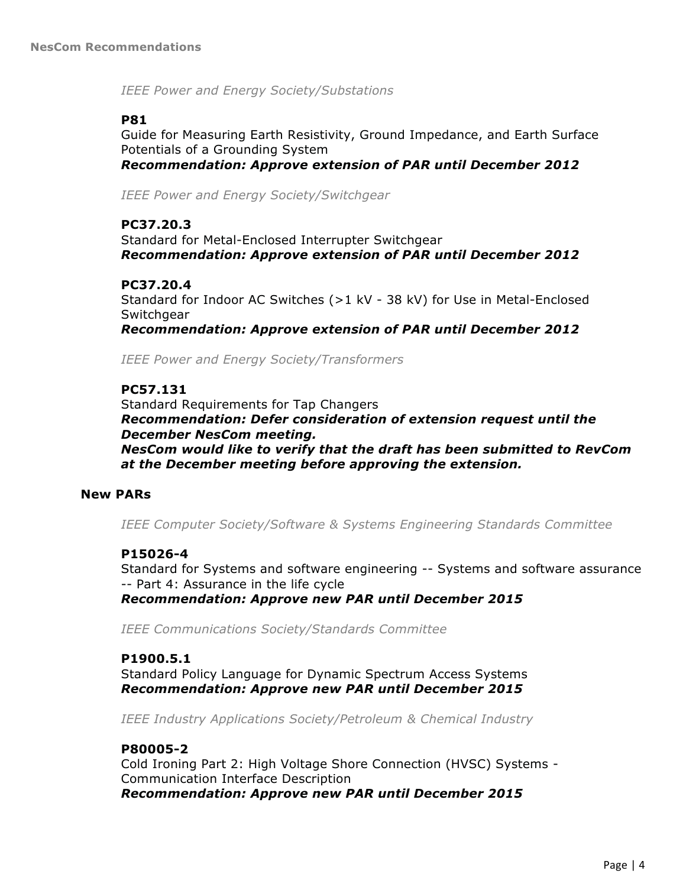*IEEE Power and Energy Society/Substations*

# **P81**

Guide for Measuring Earth Resistivity, Ground Impedance, and Earth Surface Potentials of a Grounding System *Recommendation: Approve extension of PAR until December 2012*

*IEEE Power and Energy Society/Switchgear*

## **PC37.20.3**

Standard for Metal-Enclosed Interrupter Switchgear *Recommendation: Approve extension of PAR until December 2012*

# **PC37.20.4**

Standard for Indoor AC Switches (>1 kV - 38 kV) for Use in Metal-Enclosed **Switchgear** 

*Recommendation: Approve extension of PAR until December 2012*

*IEEE Power and Energy Society/Transformers*

# **PC57.131**

Standard Requirements for Tap Changers *Recommendation: Defer consideration of extension request until the December NesCom meeting. NesCom would like to verify that the draft has been submitted to RevCom at the December meeting before approving the extension.*

## **New PARs**

*IEEE Computer Society/Software & Systems Engineering Standards Committee*

## **P15026-4**

Standard for Systems and software engineering -- Systems and software assurance -- Part 4: Assurance in the life cycle *Recommendation: Approve new PAR until December 2015*

*IEEE Communications Society/Standards Committee*

## **P1900.5.1**

Standard Policy Language for Dynamic Spectrum Access Systems *Recommendation: Approve new PAR until December 2015*

*IEEE Industry Applications Society/Petroleum & Chemical Industry*

# **P80005-2**

Cold Ironing Part 2: High Voltage Shore Connection (HVSC) Systems - Communication Interface Description *Recommendation: Approve new PAR until December 2015*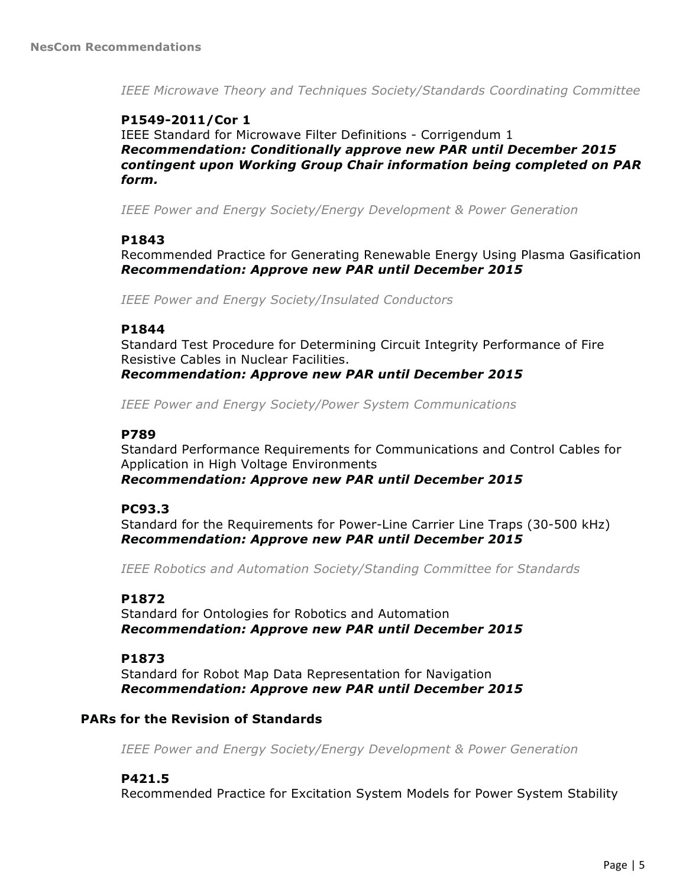*IEEE Microwave Theory and Techniques Society/Standards Coordinating Committee*

# **P1549-2011/Cor 1**

IEEE Standard for Microwave Filter Definitions - Corrigendum 1 *Recommendation: Conditionally approve new PAR until December 2015 contingent upon Working Group Chair information being completed on PAR form.*

*IEEE Power and Energy Society/Energy Development & Power Generation*

#### **P1843**

Recommended Practice for Generating Renewable Energy Using Plasma Gasification *Recommendation: Approve new PAR until December 2015*

*IEEE Power and Energy Society/Insulated Conductors*

#### **P1844**

Standard Test Procedure for Determining Circuit Integrity Performance of Fire Resistive Cables in Nuclear Facilities. *Recommendation: Approve new PAR until December 2015*

*IEEE Power and Energy Society/Power System Communications*

## **P789**

Standard Performance Requirements for Communications and Control Cables for Application in High Voltage Environments *Recommendation: Approve new PAR until December 2015*

## **PC93.3**

Standard for the Requirements for Power-Line Carrier Line Traps (30-500 kHz) *Recommendation: Approve new PAR until December 2015*

*IEEE Robotics and Automation Society/Standing Committee for Standards*

# **P1872**

Standard for Ontologies for Robotics and Automation *Recommendation: Approve new PAR until December 2015*

#### **P1873**

Standard for Robot Map Data Representation for Navigation *Recommendation: Approve new PAR until December 2015*

## **PARs for the Revision of Standards**

*IEEE Power and Energy Society/Energy Development & Power Generation*

## **P421.5**

Recommended Practice for Excitation System Models for Power System Stability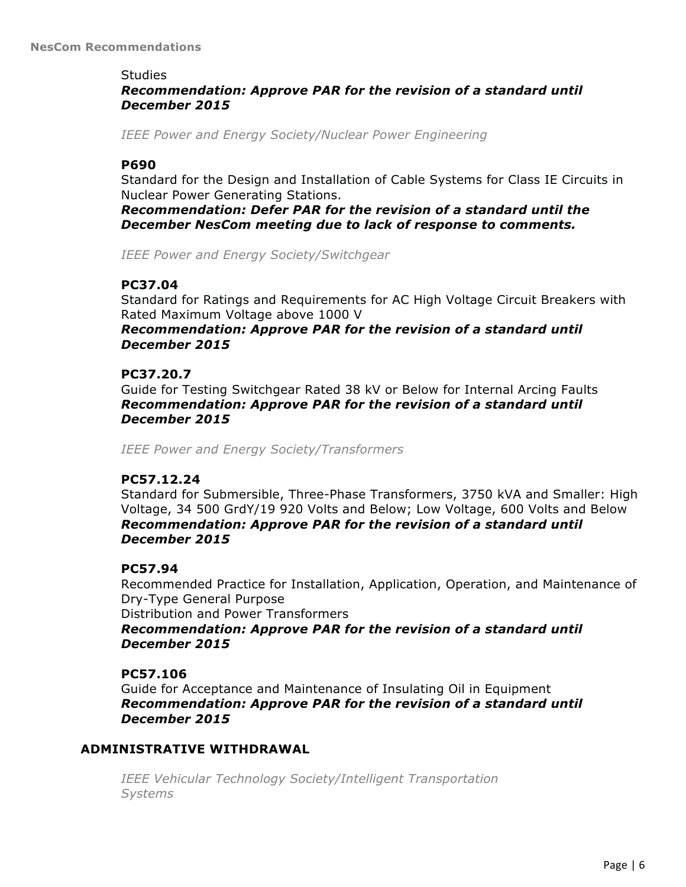#### **Studies**

# *Recommendation: Approve PAR for the revision of a standard until December 2015*

*IEEE Power and Energy Society/Nuclear Power Engineering*

# **P690**

Standard for the Design and Installation of Cable Systems for Class IE Circuits in Nuclear Power Generating Stations.

*Recommendation: Defer PAR for the revision of a standard until the December NesCom meeting due to lack of response to comments.*

*IEEE Power and Energy Society/Switchgear*

# **PC37.04**

Standard for Ratings and Requirements for AC High Voltage Circuit Breakers with Rated Maximum Voltage above 1000 V

## *Recommendation: Approve PAR for the revision of a standard until December 2015*

## **PC37.20.7**

Guide for Testing Switchgear Rated 38 kV or Below for Internal Arcing Faults *Recommendation: Approve PAR for the revision of a standard until December 2015*

*IEEE Power and Energy Society/Transformers*

## **PC57.12.24**

Standard for Submersible, Three-Phase Transformers, 3750 kVA and Smaller: High Voltage, 34 500 GrdY/19 920 Volts and Below; Low Voltage, 600 Volts and Below *Recommendation: Approve PAR for the revision of a standard until December 2015*

## **PC57.94**

Recommended Practice for Installation, Application, Operation, and Maintenance of Dry-Type General Purpose

Distribution and Power Transformers

*Recommendation: Approve PAR for the revision of a standard until December 2015*

## **PC57.106**

Guide for Acceptance and Maintenance of Insulating Oil in Equipment *Recommendation: Approve PAR for the revision of a standard until December 2015*

## **ADMINISTRATIVE WITHDRAWAL**

*IEEE Vehicular Technology Society/Intelligent Transportation Systems*